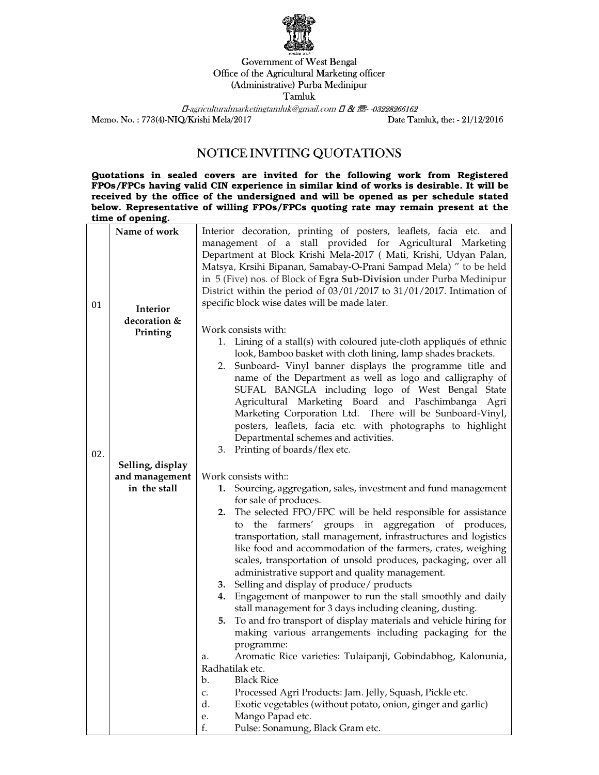

## Government of West Bengal Office of the Agricultural Marketing officer (Administrative) Purba Medinipur Tamluk

 $\Box$ -agriculturalmarketingtamluk@gmail.com  $\Box$  &  $\Box$ -03228266162 Memo. No. : 773(4)-NIQ/Krishi Mela/2017 Date Tamluk, the: - 21/12/2016

## NOTICE INVITING QUOTATIONS

Quotations in sealed covers are invited for the following work from Registered FPOs/FPCs having valid CIN experience in similar kind of works is desirable. It will be received by the office of the undersigned and will be opened as per schedule stated below. Representative of willing FPOs/FPCs quoting rate may remain present at the time of opening.

|     | Name of work                       | Interior decoration, printing of posters, leaflets, facia etc. and     |
|-----|------------------------------------|------------------------------------------------------------------------|
|     |                                    | management of a stall provided for Agricultural Marketing              |
|     |                                    | Department at Block Krishi Mela-2017 ( Mati, Krishi, Udyan Palan,      |
|     |                                    | Matsya, Krsihi Bipanan, Samabay-O-Prani Sampad Mela) " to be held      |
|     |                                    | in 5 (Five) nos. of Block of Egra Sub-Division under Purba Medinipur   |
|     |                                    | District within the period of 03/01/2017 to 31/01/2017. Intimation of  |
| 01  |                                    | specific block wise dates will be made later.                          |
|     | Interior                           |                                                                        |
|     | decoration &                       | Work consists with:                                                    |
|     | Printing                           | 1. Lining of a stall(s) with coloured jute-cloth appliqués of ethnic   |
|     |                                    | look, Bamboo basket with cloth lining, lamp shades brackets.           |
|     |                                    | 2. Sunboard- Vinyl banner displays the programme title and             |
|     |                                    | name of the Department as well as logo and calligraphy of              |
|     |                                    | SUFAL BANGLA including logo of West Bengal State                       |
|     |                                    | Agricultural Marketing Board and Paschimbanga Agri                     |
|     |                                    | Marketing Corporation Ltd. There will be Sunboard-Vinyl,               |
|     |                                    | posters, leaflets, facia etc. with photographs to highlight            |
|     |                                    | Departmental schemes and activities.                                   |
|     |                                    | Printing of boards/flex etc.<br>3.                                     |
| 02. |                                    |                                                                        |
|     | Selling, display<br>and management | Work consists with::                                                   |
|     | in the stall                       | 1. Sourcing, aggregation, sales, investment and fund management        |
|     |                                    | for sale of produces.                                                  |
|     |                                    | 2. The selected FPO/FPC will be held responsible for assistance        |
|     |                                    | the farmers' groups in aggregation of produces,<br>to                  |
|     |                                    | transportation, stall management, infrastructures and logistics        |
|     |                                    | like food and accommodation of the farmers, crates, weighing           |
|     |                                    | scales, transportation of unsold produces, packaging, over all         |
|     |                                    | administrative support and quality management.                         |
|     |                                    | Selling and display of produce/ products<br>3.                         |
|     |                                    | Engagement of manpower to run the stall smoothly and daily<br>4.       |
|     |                                    | stall management for 3 days including cleaning, dusting.               |
|     |                                    | To and fro transport of display materials and vehicle hiring for<br>5. |
|     |                                    | making various arrangements including packaging for the                |
|     |                                    | programme:                                                             |
|     |                                    | Aromatic Rice varieties: Tulaipanji, Gobindabhog, Kalonunia,<br>a.     |
|     |                                    | Radhatilak etc.                                                        |
|     |                                    | <b>Black Rice</b><br>b.                                                |
|     |                                    | Processed Agri Products: Jam. Jelly, Squash, Pickle etc.<br>c.         |
|     |                                    | d.<br>Exotic vegetables (without potato, onion, ginger and garlic)     |
|     |                                    | Mango Papad etc.<br>е.                                                 |
|     |                                    | Pulse: Sonamung, Black Gram etc.<br>f.                                 |